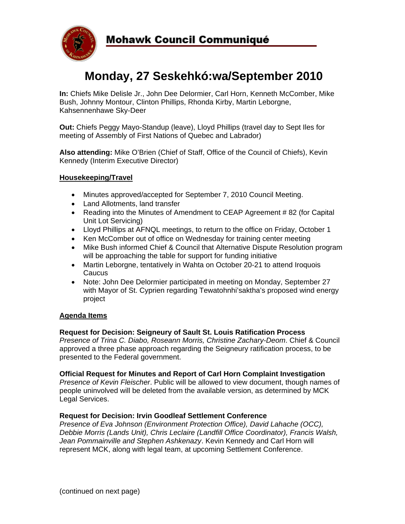

# **Monday, 27 Seskehkó:wa/September 2010**

**In:** Chiefs Mike Delisle Jr., John Dee Delormier, Carl Horn, Kenneth McComber, Mike Bush, Johnny Montour, Clinton Phillips, Rhonda Kirby, Martin Leborgne, Kahsennenhawe Sky-Deer

**Out:** Chiefs Peggy Mayo-Standup (leave), Lloyd Phillips (travel day to Sept Iles for meeting of Assembly of First Nations of Quebec and Labrador)

**Also attending:** Mike O'Brien (Chief of Staff, Office of the Council of Chiefs), Kevin Kennedy (Interim Executive Director)

### **Housekeeping/Travel**

- Minutes approved/accepted for September 7, 2010 Council Meeting.
- Land Allotments, land transfer
- Reading into the Minutes of Amendment to CEAP Agreement # 82 (for Capital Unit Lot Servicing)
- Lloyd Phillips at AFNQL meetings, to return to the office on Friday, October 1
- Ken McComber out of office on Wednesday for training center meeting
- Mike Bush informed Chief & Council that Alternative Dispute Resolution program will be approaching the table for support for funding initiative
- Martin Leborgne, tentatively in Wahta on October 20-21 to attend Iroquois **Caucus**
- Note: John Dee Delormier participated in meeting on Monday, September 27 with Mayor of St. Cyprien regarding Tewatohnhi'saktha's proposed wind energy project

#### **Agenda Items**

#### **Request for Decision: Seigneury of Sault St. Louis Ratification Process**

*Presence of Trina C. Diabo, Roseann Morris, Christine Zachary-Deom*. Chief & Council approved a three phase approach regarding the Seigneury ratification process, to be presented to the Federal government.

#### **Official Request for Minutes and Report of Carl Horn Complaint Investigation**

*Presence of Kevin Fleischer*. Public will be allowed to view document, though names of people uninvolved will be deleted from the available version, as determined by MCK Legal Services.

#### **Request for Decision: Irvin Goodleaf Settlement Conference**

*Presence of Eva Johnson (Environment Protection Office), David Lahache (OCC), Debbie Morris (Lands Unit), Chris Leclaire (Landfill Office Coordinator), Francis Walsh, Jean Pommainville and Stephen Ashkenazy*. Kevin Kennedy and Carl Horn will represent MCK, along with legal team, at upcoming Settlement Conference.